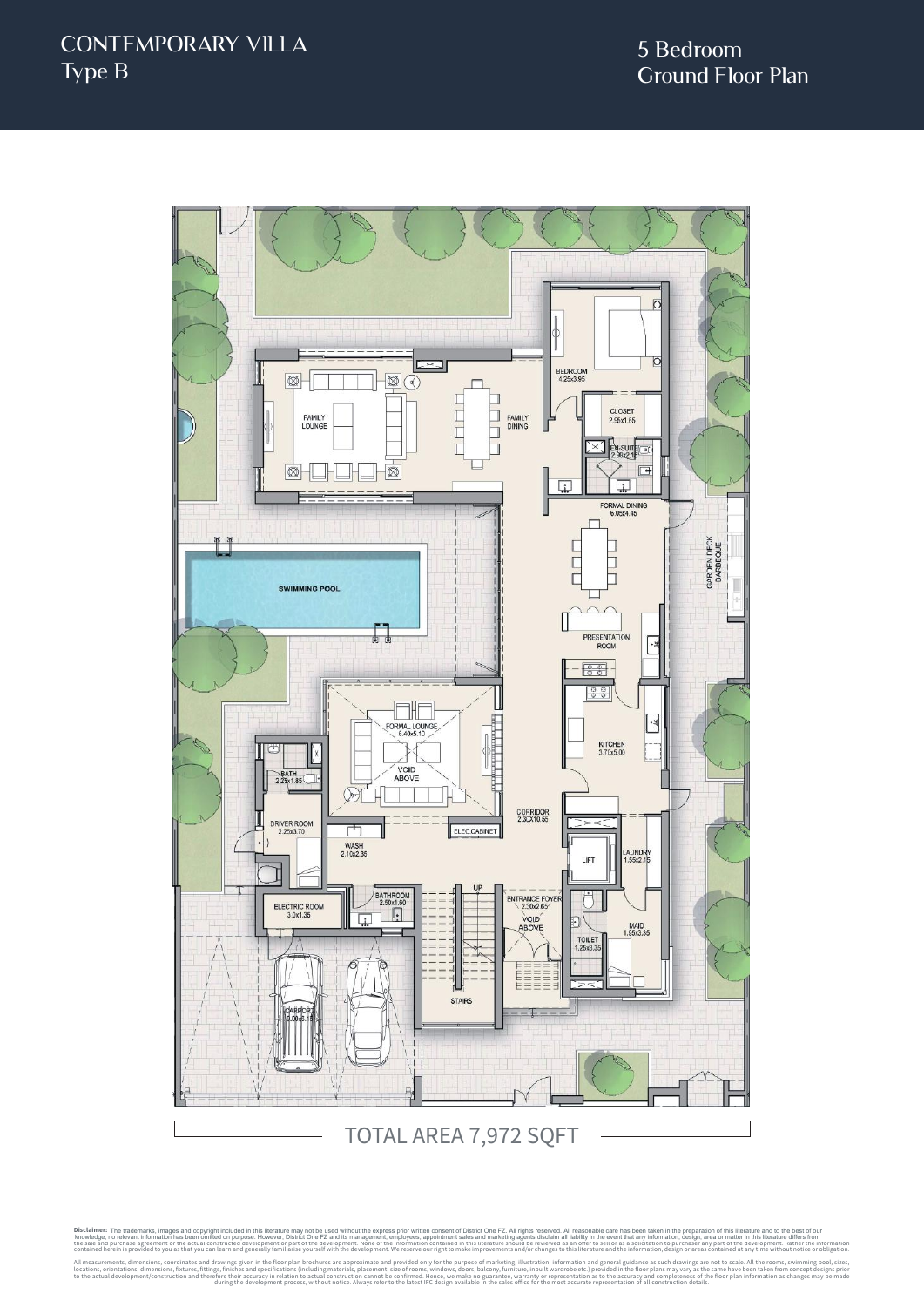

Disclaimer: The trademarks, images and copyright included in this literature may not be used without the express prior written consent of District One FZ. All rights reserved. All reasonable care has been taken in the prep knowledge, no relevant information has been omitted on purpose. However, District One FZ and its management, employees, appointment sales and marketing agents disclaim all liability in the event that any information, desig knowledge, no relevant information has been omitted on purpose. However, District One FZ and its management, employes, appointmet sales and marketing agents discluded at liability in the every one of the inverse is a sucke contained herein is provided to you as that you can learn and generally familiarise yourself with the development. We reserve our right to make improvements and/or changes to this literature and the information, design or All measurements, dimensions, coordinates and specifications (including materials, place approximate and provided only for the purpose of marketing, illustration, including materials processurement, size of rooms, windows, to the actual development/construction and therefore their accuracy in relation to actual construction cannot be confirmed. Hence, we make no guarantee, warranty or representation as to the accuracy and completeness of the The trademarks, images and copyright included in this literature may not be used without the express prior written consent of District One FZ. All rights reserved. All reasonable care has been taken in the preparation of t

during the development process, without notice. Always refer to the latest IFC design available in the sales office for the most accurate representation of all construction details.